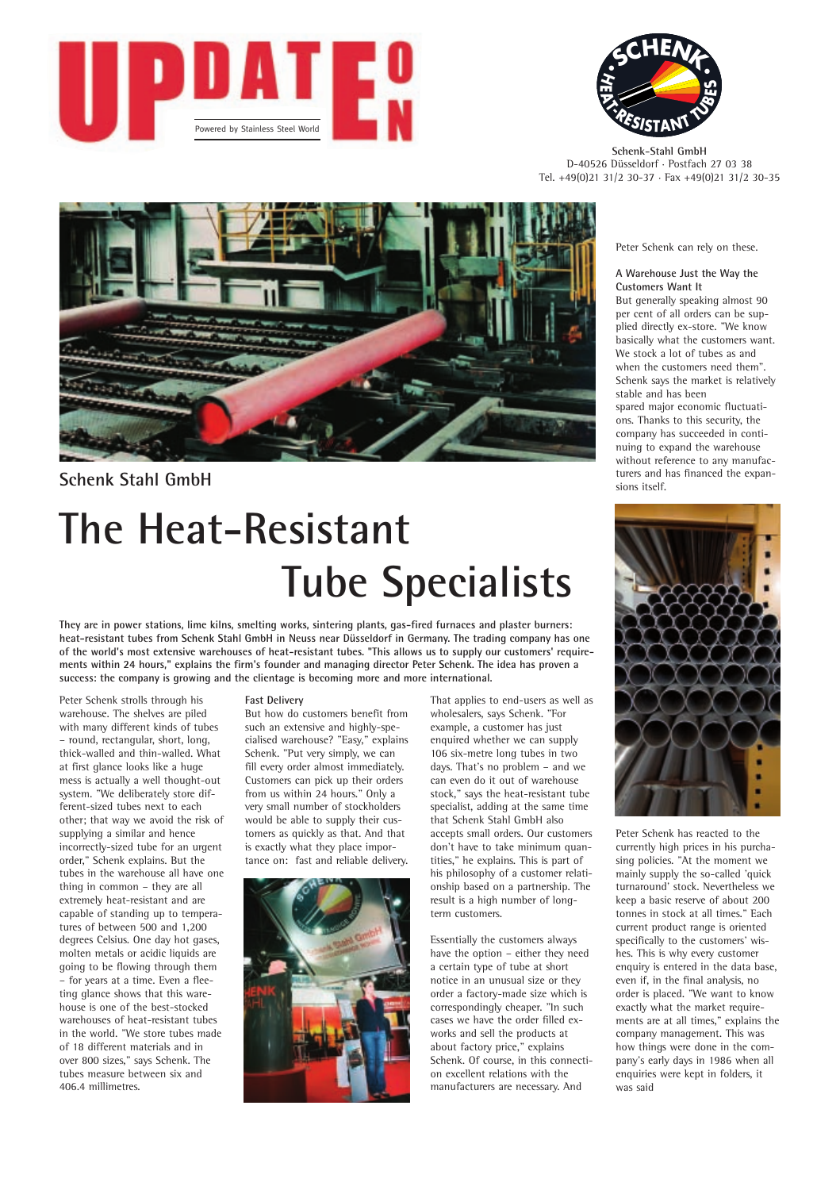



**Schenk-Stahl GmbH** D-40526 Düsseldorf · Postfach 27 03 38 Tel. +49(0)21 31/2 30-37 · Fax +49(0)21 31/2 30-35



# **Schenk Stahl GmbH**

# **The Heat-Resistant Tube Specialists**

**They are in power stations, lime kilns, smelting works, sintering plants, gas-fired furnaces and plaster burners: heat-resistant tubes from Schenk Stahl GmbH in Neuss near Düsseldorf in Germany. The trading company has one of the world's most extensive warehouses of heat-resistant tubes. "This allows us to supply our customers' requirements within 24 hours," explains the firm's founder and managing director Peter Schenk. The idea has proven a success: the company is growing and the clientage is becoming more and more international.** 

Peter Schenk strolls through his warehouse. The shelves are piled with many different kinds of tubes – round, rectangular, short, long, thick-walled and thin-walled. What at first glance looks like a huge mess is actually a well thought-out system. "We deliberately store different-sized tubes next to each other; that way we avoid the risk of supplying a similar and hence incorrectly-sized tube for an urgent order," Schenk explains. But the tubes in the warehouse all have one thing in common – they are all extremely heat-resistant and are capable of standing up to temperatures of between 500 and 1,200 degrees Celsius. One day hot gases, molten metals or acidic liquids are going to be flowing through them – for years at a time. Even a fleeting glance shows that this warehouse is one of the best-stocked warehouses of heat-resistant tubes in the world. "We store tubes made of 18 different materials and in over 800 sizes," says Schenk. The tubes measure between six and 406.4 millimetres.

#### **Fast Delivery**

But how do customers benefit from such an extensive and highly-specialised warehouse? "Easy," explains Schenk. "Put very simply, we can fill every order almost immediately. Customers can pick up their orders from us within 24 hours." Only a very small number of stockholders would be able to supply their customers as quickly as that. And that is exactly what they place importance on: fast and reliable delivery.



That applies to end-users as well as wholesalers, says Schenk. "For example, a customer has just enquired whether we can supply 106 six-metre long tubes in two days. That's no problem – and we can even do it out of warehouse stock," says the heat-resistant tube specialist, adding at the same time that Schenk Stahl GmbH also accepts small orders. Our customers don't have to take minimum quantities," he explains. This is part of his philosophy of a customer relationship based on a partnership. The result is a high number of longterm customers.

Essentially the customers always have the option – either they need a certain type of tube at short notice in an unusual size or they order a factory-made size which is correspondingly cheaper. "In such cases we have the order filled exworks and sell the products at about factory price," explains Schenk. Of course, in this connection excellent relations with the manufacturers are necessary. And

Peter Schenk can rely on these.

**A Warehouse Just the Way the Customers Want It** But generally speaking almost 90 per cent of all orders can be supplied directly ex-store. "We know basically what the customers want. We stock a lot of tubes as and when the customers need them". Schenk says the market is relatively stable and has been spared major economic fluctuations. Thanks to this security, the company has succeeded in continuing to expand the warehouse without reference to any manufacturers and has financed the expansions itself.



Peter Schenk has reacted to the currently high prices in his purchasing policies. "At the moment we mainly supply the so-called 'quick turnaround' stock. Nevertheless we keep a basic reserve of about 200 tonnes in stock at all times." Each current product range is oriented specifically to the customers' wishes. This is why every customer enquiry is entered in the data base, even if, in the final analysis, no order is placed. "We want to know exactly what the market requirements are at all times," explains the company management. This was how things were done in the company's early days in 1986 when all enquiries were kept in folders, it was said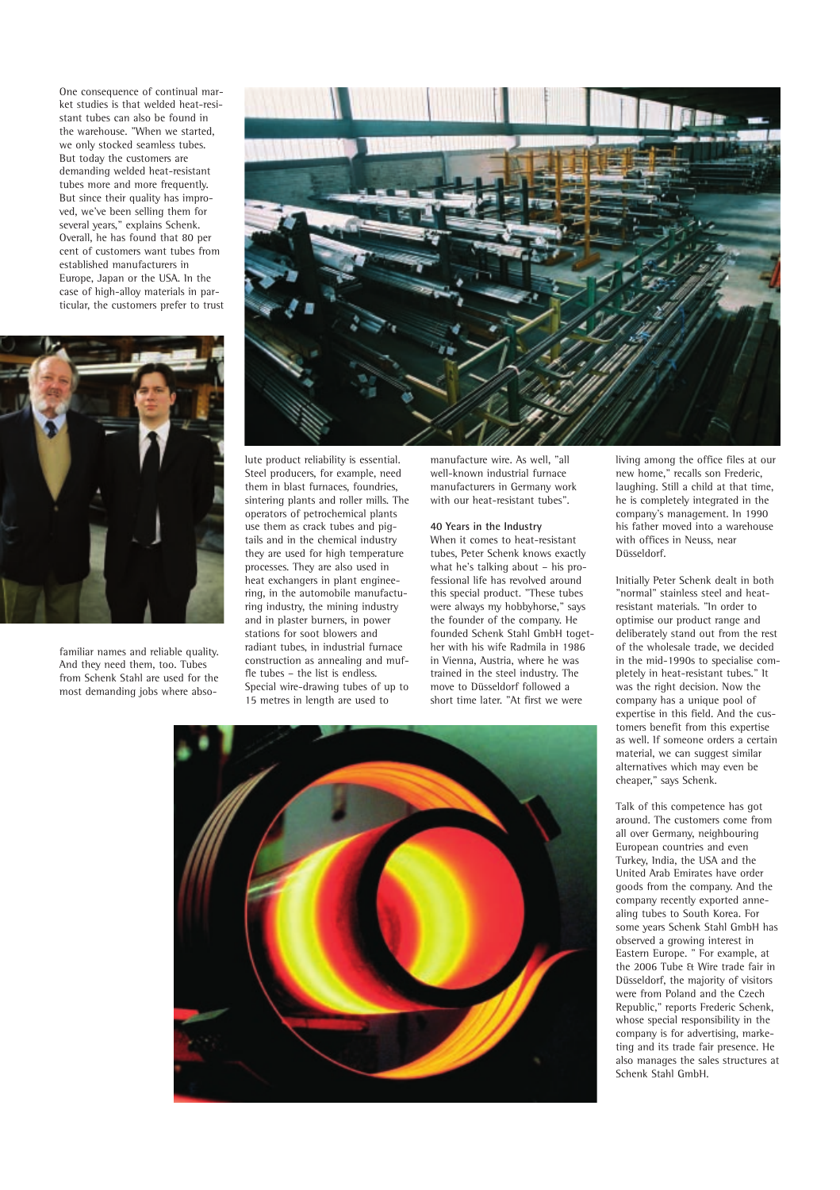One consequence of continual market studies is that welded heat-resistant tubes can also be found in the warehouse. "When we started, we only stocked seamless tubes. But today the customers are demanding welded heat-resistant tubes more and more frequently. But since their quality has improved, we've been selling them for several years," explains Schenk. Overall, he has found that 80 per cent of customers want tubes from established manufacturers in Europe, Japan or the USA. In the case of high-alloy materials in particular, the customers prefer to trust



familiar names and reliable quality. And they need them, too. Tubes from Schenk Stahl are used for the most demanding jobs where abso-



lute product reliability is essential. Steel producers, for example, need them in blast furnaces, foundries, sintering plants and roller mills. The operators of petrochemical plants use them as crack tubes and pigtails and in the chemical industry they are used for high temperature processes. They are also used in heat exchangers in plant engineering, in the automobile manufacturing industry, the mining industry and in plaster burners, in power stations for soot blowers and radiant tubes, in industrial furnace construction as annealing and muffle tubes – the list is endless. Special wire-drawing tubes of up to 15 metres in length are used to

manufacture wire. As well, "all well-known industrial furnace manufacturers in Germany work with our heat-resistant tubes".

#### **40 Years in the Industry**

When it comes to heat-resistant tubes, Peter Schenk knows exactly what he's talking about – his professional life has revolved around this special product. "These tubes were always my hobbyhorse," says the founder of the company. He founded Schenk Stahl GmbH together with his wife Radmila in 1986 in Vienna, Austria, where he was trained in the steel industry. The move to Düsseldorf followed a short time later. "At first we were

living among the office files at our new home," recalls son Frederic, laughing. Still a child at that time, he is completely integrated in the company's management. In 1990 his father moved into a warehouse with offices in Neuss, near Düsseldorf.

Initially Peter Schenk dealt in both "normal" stainless steel and heatresistant materials. "In order to optimise our product range and deliberately stand out from the rest of the wholesale trade, we decided in the mid-1990s to specialise completely in heat-resistant tubes." It was the right decision. Now the company has a unique pool of expertise in this field. And the customers benefit from this expertise as well. If someone orders a certain material, we can suggest similar alternatives which may even be cheaper," says Schenk.

Talk of this competence has got around. The customers come from all over Germany, neighbouring European countries and even Turkey, India, the USA and the United Arab Emirates have order goods from the company. And the company recently exported annealing tubes to South Korea. For some years Schenk Stahl GmbH has observed a growing interest in Eastern Europe. " For example, at the 2006 Tube & Wire trade fair in Düsseldorf, the majority of visitors were from Poland and the Czech Republic," reports Frederic Schenk, whose special responsibility in the company is for advertising, marketing and its trade fair presence. He also manages the sales structures at Schenk Stahl GmbH.

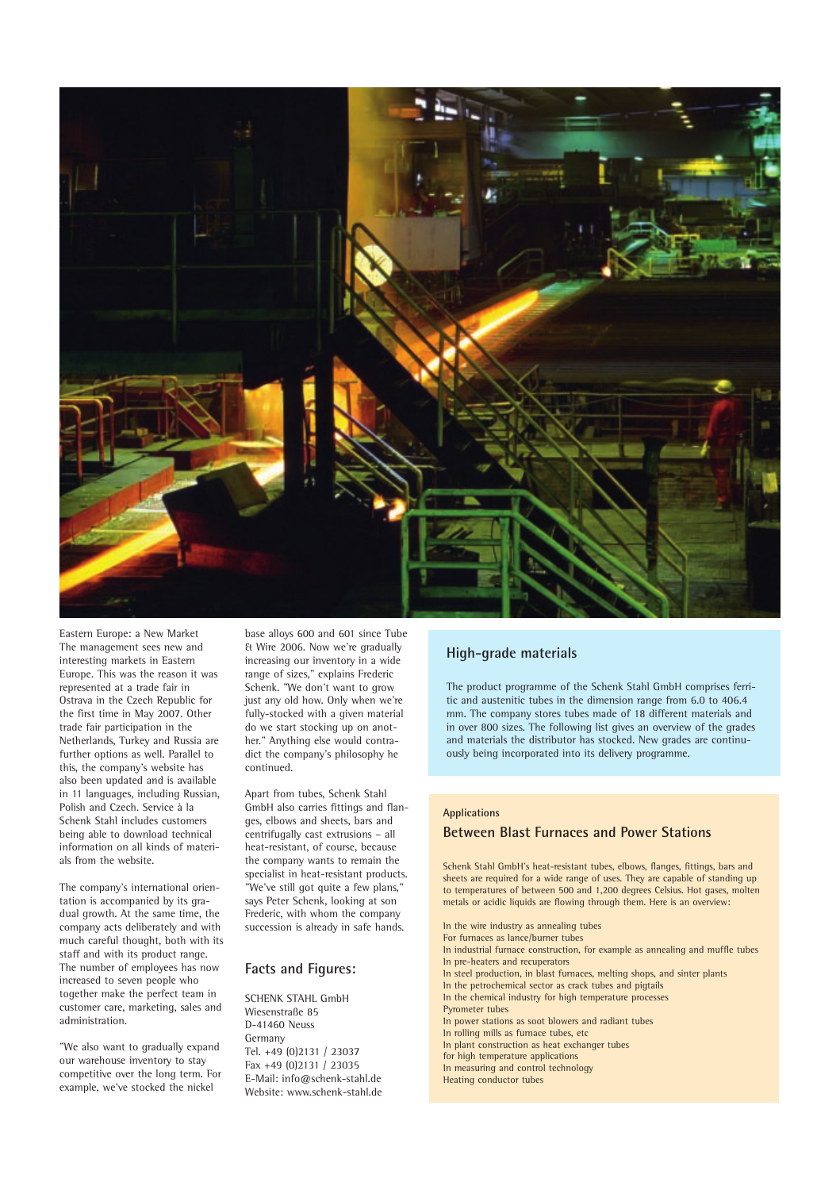

Eastern Europe: a New Market The management sees new and interesting markets in Eastern Europe. This was the reason it was represented at a trade fair in Ostrava in the Czech Republic for the first time in May 2007. Other trade fair participation in the Netherlands, Turkey and Russia are further options as well. Parallel to this, the company's website has also been updated and is available in 11 languages, including Russian, Polish and Czech. Service à la Schenk Stahl includes customers being able to download technical information on all kinds of materials from the website.

The company's international orientation is accompanied by its gradual growth. At the same time, the company acts deliberately and with much careful thought, both with its staff and with its product range. The number of employees has now increased to seven people who together make the perfect team in customer care, marketing, sales and administration.

"We also want to gradually expand our warehouse inventory to stay competitive over the long term. For example, we've stocked the nickel

base alloys 600 and 601 since Tube & Wire 2006. Now we're gradually increasing our inventory in a wide range of sizes," explains Frederic Schenk. "We don't want to grow just any old how. Only when we're fully-stocked with a given material do we start stocking up on another." Anything else would contradict the company's philosophy he continued.

Apart from tubes, Schenk Stahl GmbH also carries fittings and flanges, elbows and sheets, bars and centrifugally cast extrusions – all heat-resistant, of course, because the company wants to remain the specialist in heat-resistant products. "We've still got quite a few plans," says Peter Schenk, looking at son Frederic, with whom the company succession is already in safe hands.

## **Facts and Figures:**

SCHENK STAHL GmbH Wiesenstraße 85 D-41460 Neuss Germany Tel. +49 (0)2131 / 23037 Fax +49 (0)2131 / 23035 E-Mail: info@schenk-stahl.de Website: www.schenk-stahl.de

# **High-grade materials**

The product programme of the Schenk Stahl GmbH comprises ferritic and austenitic tubes in the dimension range from 6.0 to 406.4 mm. The company stores tubes made of 18 different materials and in over 800 sizes. The following list gives an overview of the grades and materials the distributor has stocked. New grades are continuously being incorporated into its delivery programme.

#### **Applications**

### **Between Blast Furnaces and Power Stations**

Schenk Stahl GmbH's heat-resistant tubes, elbows, flanges, fittings, bars and sheets are required for a wide range of uses. They are capable of standing up to temperatures of between 500 and 1,200 degrees Celsius. Hot gases, molten metals or acidic liquids are flowing through them. Here is an overview:

In the wire industry as annealing tubes For furnaces as lance/burner tubes In industrial furnace construction, for example as annealing and muffle tubes In pre-heaters and recuperators In steel production, in blast furnaces, melting shops, and sinter plants In the petrochemical sector as crack tubes and pigtails In the chemical industry for high temperature processes Pyrometer tubes In power stations as soot blowers and radiant tubes In rolling mills as furnace tubes, etc In plant construction as heat exchanger tubes for high temperature applications In measuring and control technology Heating conductor tubes